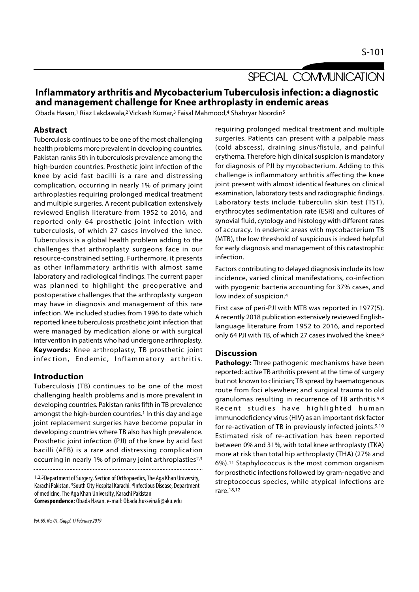# SPECIAL COMMUNICATION

# Inflammatory arthritis and Mycobacterium Tuberculosis infection: a diagnostic and management challenge for Knee arthroplasty in endemic areas

Obada Hasan,<sup>1</sup> Riaz Lakdawala,<sup>2</sup> Vickash Kumar,<sup>3</sup> Faisal Mahmood,<sup>4</sup> Shahryar Noordin<sup>5</sup>

# Abstract

Tuberculosis continues to be one of the most challenging health problems more prevalent in developing countries. Pakistan ranks 5th in tuberculosis prevalence among the high-burden countries. Prosthetic joint infection of the knee by acid fast bacilli is a rare and distressing complication, occurring in nearly 1% of primary joint arthroplasties requiring prolonged medical treatment and multiple surgeries. A recent publication extensively reviewed English literature from 1952 to 2016, and reported only 64 prosthetic joint infection with tuberculosis, of which 27 cases involved the knee. Tuberculosis is a global health problem adding to the challenges that arthroplasty surgeons face in our resource-constrained setting. Furthermore, it presents as other inflammatory arthritis with almost same laboratory and radiological findings. The current paper was planned to highlight the preoperative and postoperative challenges that the arthroplasty surgeon may have in diagnosis and management of this rare infection. We included studies from 1996 to date which reported knee tuberculosis prosthetic joint infection that were managed by medication alone or with surgical intervention in patients who had undergone arthroplasty. Keywords: Knee arthroplasty, TB prosthetic joint Fig. 2018 publication and the properative and with pyogenic bacteria accour postoperative challenges that the arthroplasty surgeon low index of suspicion.<sup>4</sup><br>
in frection windex of suspicion.<sup>4</sup><br>
infection that reported kn

### Introduction

Tuberculosis (TB) continues to be one of the most challenging health problems and is more prevalent in developing countries. Pakistan ranks fifth in TB prevalence<br>Recent studies have highlighted human amongst the high-burden countries.<sup>1</sup> In this day and age joint replacement surgeries have become popular in developing countries where TB also has high prevalence. Prosthetic joint infection (PJI) of the knee by acid fast bacilli (AFB) is a rare and distressing complication occurring in nearly 1% of primary joint arthroplasties2,3

1,2,5Department of Surgery, Section of Orthopaedics, The Aga Khan University, Karachi Pakistan. 3South City Hospital Karachi. 4Infectious Disease, Department of medicine, The Aga Khan University, Karachi Pakistan

Correspondence: Obada Hasan. e-mail: Obada.husseinali@aku.edu

requiring prolonged medical treatment and multiple surgeries. Patients can present with a palpable mass (cold abscess), draining sinus/fistula, and painful erythema. Therefore high clinical suspicion is mandatory for diagnosis of PJI by mycobacterium. Adding to this challenge is inflammatory arthritis affecting the knee joint present with almost identical features on clinical examination, laboratory tests and radiographic findings. Laboratory tests include tuberculin skin test (TST), erythrocytes sedimentation rate (ESR) and cultures of synovial fluid, cytology and histology with different rates of accuracy. In endemic areas with mycobacterium TB (MTB), the low threshold of suspicious is indeed helpful for early diagnosis and management of this catastrophic infection.

Factors contributing to delayed diagnosis include its low incidence, varied clinical manifestations, co-infection with pyogenic bacteria accounting for 37% cases, and low index of suspicion.4

First case of peri-PJI with MTB was reported in 1977(5). A recently 2018 publication extensively reviewed Englishlanguage literature from 1952 to 2016, and reported only 64 PJI with TB, of which 27 cases involved the knee.6

### **Discussion**

Pathology: Three pathogenic mechanisms have been reported: active TB arthritis present at the time of surgery but not known to clinician; TB spread by haematogenous route from foci elsewhere; and surgical trauma to old granulomas resulting in recurrence of TB arthritis.5-8 ranguage merature from 1932 to 2016, and reported<br>only 64 PJI with TB, of which 27 cases involved the knee.<sup>6</sup><br>**Discussion**<br>**Pathology:** Three pathogenic mechanisms have been<br>reported: active TB arthritis present at the ti immunodeficiency virus (HIV) as an important risk factor for re-activation of TB in previously infected joints.9,10 Estimated risk of re-activation has been reported between 0% and 31%, with total knee arthroplasty (TKA) more at risk than total hip arthroplasty (THA) (27% and 6%).11 Staphylococcus is the most common organism for prosthetic infections followed by gram-negative and streptococcus species, while atypical infections are rare.18,12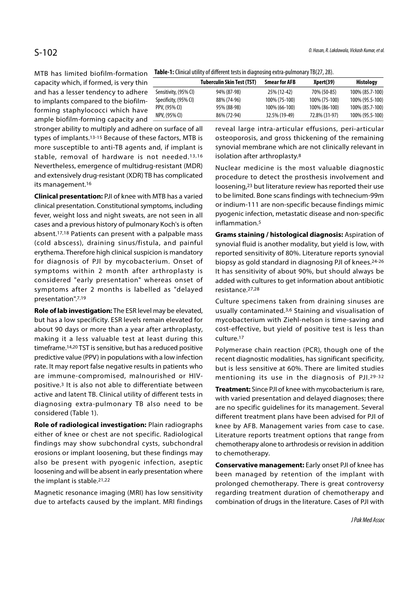MTB has limited biofilm-formation capacity which, if formed, is very thin and has a lesser tendency to adhere to implants compared to the biofilmforming staphylococci which have ample biofilm-forming capacity and

stronger ability to multiply and adhere on surface of all types of implants.13-15 Because of these factors, MTB is more susceptible to anti-TB agents and, if implant is stable, removal of hardware is not needed.13,16 Nevertheless, emergence of multidrug-resistant (MDR) and extensively drug-resistant (XDR) TB has complicated its management.16

Clinical presentation: PJI of knee with MTB has a varied clinical presentation. Constitutional symptoms, including fever, weight loss and night sweats, are not seen in all cases and a previous history of pulmonary Koch's is often absent.17,18 Patients can present with a palpable mass (cold abscess), draining sinus/fistula, and painful erythema. Therefore high clinical suspicion is mandatory for diagnosis of PJI by mycobacterium. Onset of symptoms within 2 month after arthroplasty is considered "early presentation" whereas onset of symptoms after 2 months is labelled as "delayed presentation".7,19

Role of lab investigation: The ESR level may be elevated, but has a low specificity. ESR levels remain elevated for about 90 days or more than a year after arthroplasty, making it a less valuable test at least during this timeframe.14,20 TST is sensitive, but has a reduced positive predictive value (PPV) in populations with a low infection rate. It may report false negative results in patients who are immune-compromised, malnourished or HIVpositive.3 It is also not able to differentiate between active and latent TB. Clinical utility of different tests in diagnosing extra-pulmonary TB also need to be considered (Table 1).

Role of radiological investigation: Plain radiographs either of knee or chest are not specific. Radiological findings may show subchondral cysts, subchondral erosions or implant loosening, but these findings may also be present with pyogenic infection, aseptic loosening and will be absent in early presentation where the implant is stable.21,22

Magnetic resonance imaging (MRI) has low sensitivity due to artefacts caused by the implant. MRI findings

Table-1: Clinical utility of different tests in diagnosing extra-pulmonary TB(27, 28).

|                       | <b>Tuberculin Skin Test (TST)</b> | <b>Smear for AFB</b> | Xpert(39)     | <b>Histology</b> |
|-----------------------|-----------------------------------|----------------------|---------------|------------------|
| Sensitivity, (95% CI) | 94% (87-98)                       | 25% (12-42)          | 70% (50-85)   | 100% (85.7-100)  |
| Specificity, (95% CI) | 88% (74-96)                       | 100% (75-100)        | 100% (75-100) | 100% (95.5-100)  |
| PPV, (95% CI)         | 95% (88-98)                       | 100% (66-100)        | 100% (86-100) | 100% (85.7-100)  |
| NPV, (95% CI)         | 86% (72-94)                       | 32.5% (19-49)        | 72.8% (31-97) | 100% (95.5-100)  |
|                       |                                   |                      |               |                  |

reveal large intra-articular effusions, peri-articular osteoporosis, and gross thickening of the remaining synovial membrane which are not clinically relevant in isolation after arthroplasty.8

Nuclear medicine is the most valuable diagnostic procedure to detect the prosthesis involvement and loosening,23 but literature review has reported their use to be limited. Bone scans findings with technecium-99m or indium-111 are non-specific because findings mimic pyogenic infection, metastatic disease and non-specific inflammation.5

Grams staining / histological diagnosis: Aspiration of synovial fluid is another modality, but yield is low, with reported sensitivity of 80%. Literature reports synovial biopsy as gold standard in diagnosing PJI of knees.24-26 It has sensitivity of about 90%, but should always be added with cultures to get information about antibiotic resistance.27,28

Culture specimens taken from draining sinuses are usually contaminated.3,6 Staining and visualisation of mycobacterium with Ziehl-nelson is time-saving and cost-effective, but yield of positive test is less than culture.17

Polymerase chain reaction (PCR), though one of the recent diagnostic modalities, has significant specificity, but is less sensitive at 60%. There are limited studies mentioning its use in the diagnosis of PJI.29-32

Treatment: Since PJI of knee with mycobacterium is rare, with varied presentation and delayed diagnoses; there are no specific guidelines for its management. Several different treatment plans have been advised for PJI of knee by AFB. Management varies from case to case. Literature reports treatment options that range from chemotherapy alone to arthrodesis or revision in addition to chemotherapy.

Conservative management: Early onset PJI of knee has been managed by retention of the implant with prolonged chemotherapy. There is great controversy regarding treatment duration of chemotherapy and combination of drugs in the literature. Cases of PJI with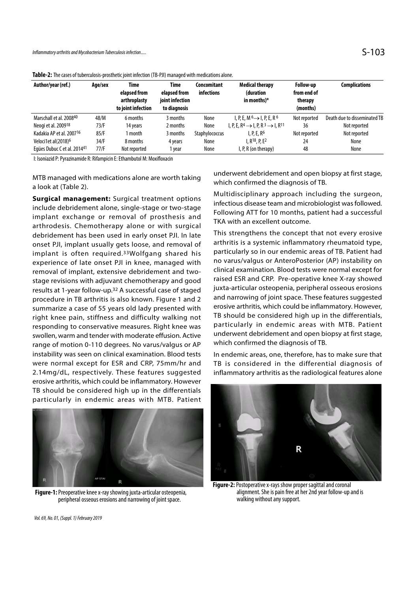| Inflammatory arthritis and Mycobacterium Tuberculosis infection                                        |         |                                                                   |                                                                |                                  |                                                                  |                                                 | $S-103$                      |
|--------------------------------------------------------------------------------------------------------|---------|-------------------------------------------------------------------|----------------------------------------------------------------|----------------------------------|------------------------------------------------------------------|-------------------------------------------------|------------------------------|
| Table-2: The cases of tuberculosis-prosthetic joint infection (TB-PJI) managed with medications alone. |         |                                                                   |                                                                |                                  |                                                                  |                                                 |                              |
| Author/year (ref.)                                                                                     | Age/sex | <b>Time</b><br>elapsed from<br>arthroplasty<br>to joint infection | <b>Time</b><br>elapsed from<br>joint infection<br>to diagnosis | <b>Concomitant</b><br>infections | <b>Medical therapy</b><br>(duration<br>in months) $*$            | Follow-up<br>from end of<br>therapy<br>(months) | <b>Complications</b>         |
| Marschall et al. 200840                                                                                | 48/M    | 6 months                                                          | 3 months                                                       | None                             | $I, P, E, M^6 \rightarrow I, P, E, R^6$                          | Not reported                                    | Death due to disseminated TB |
| Neogi et al. 2009 <sup>18</sup>                                                                        | 73/F    | 14 years                                                          | 2 months                                                       | None                             | I, P, E, $R^4 \rightarrow I$ , P, $R^3 \rightarrow I$ , $R^{11}$ | 36                                              | Not reported                 |
| Kadakia AP et al. 200716                                                                               | 85/F    | 1 month                                                           | 3 months                                                       | Staphylococcus                   | I, P, E, $R6$                                                    | Not reported                                    | Not reported                 |
| Veloci1et al(2018) <sup>6</sup>                                                                        | 34/F    | 8 months                                                          | 4 years                                                        | None                             | I, $R^{18}$ , P, $E^2$                                           | 24                                              | None                         |
| Eques Dubuc C et al. 2014 <sup>41</sup>                                                                | 77/F    | Not reported                                                      | 1 year                                                         | None                             | I, P, R (on therapy)                                             | 48                                              | None                         |

I: Isoniazid P: Pyrazinamide R: Rifampicin E: Ethambutol M: Moxifloxacin

MTB managed with medications alone are worth taking a look at (Table 2).

Surgical management: Surgical treatment options include debridement alone, single-stage or two-stage implant exchange or removal of prosthesis and arthrodesis. Chemotherapy alone or with surgical debridement has been used in early onset PJI. In late onset PJI, implant usually gets loose, and removal of implant is often required.33Wolfgang shared his experience of late onset PJI in knee, managed with removal of implant, extensive debridement and twostage revisions with adjuvant chemotherapy and good results at 1-year follow-up.32 A successful case of staged procedure in TB arthritis is also known. Figure 1 and 2 summarize a case of 55 years old lady presented with right knee pain, stiffness and difficulty walking not responding to conservative measures. Right knee was swollen, warm and tender with moderate effusion. Active range of motion 0-110 degrees. No varus/valgus or AP instability was seen on clinical examination. Blood tests were normal except for ESR and CRP, 75mm/hr and 2.14mg/dL, respectively. These features suggested erosive arthritis, which could be inflammatory. However TB should be considered high up in the differentials particularly in endemic areas with MTB. Patient



Figure-1: Preoperative knee x-ray showing juxta-articular osteopenia, peripheral osseous erosions and narrowing of joint space.

underwent debridement and open biopsy at first stage, which confirmed the diagnosis of TB.

Multidisciplinary approach including the surgeon, infectious disease team and microbiologist was followed. Following ATT for 10 months, patient had a successful TKA with an excellent outcome.

This strengthens the concept that not every erosive arthritis is a systemic inflammatory rheumatoid type, particularly so in our endemic areas of TB. Patient had no varus/valgus or AnteroPosterior (AP) instability on clinical examination. Blood tests were normal except for raised ESR and CRP. Pre-operative knee X-ray showed juxta-articular osteopenia, peripheral osseous erosions and narrowing of joint space. These features suggested erosive arthritis, which could be inflammatory. However, TB should be considered high up in the differentials, particularly in endemic areas with MTB. Patient underwent debridement and open biopsy at first stage, which confirmed the diagnosis of TB.

In endemic areas, one, therefore, has to make sure that TB is considered in the differential diagnosis of inflammatory arthritis as the radiological features alone



Figure-2: Postoperative x-rays show proper sagittal and coronal alignment. She is pain free at her 2nd year follow-up and is walking without any support.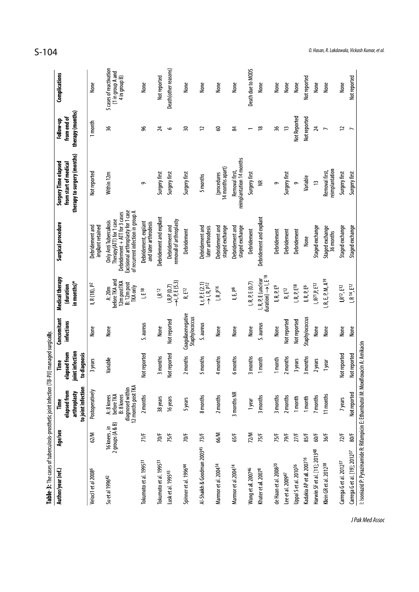| Author/year (ref.)                        | Age/sex                           | to joint infection<br>elapsed from<br>arthroplasty<br>Ĕ                          | joint infection<br>elapsed from<br>to diagnosis<br>Time | Concomitant<br><b>infections</b>    | Medical therapy<br>in months)*<br>(duration                                    | Surgical procedure                                                                                                                                                   | therapy to surgery (months)<br>Surgery Time elapsed<br>from start of medical | therapy (months)<br>from end of<br>Follow-up | Complications                                                 |
|-------------------------------------------|-----------------------------------|----------------------------------------------------------------------------------|---------------------------------------------------------|-------------------------------------|--------------------------------------------------------------------------------|----------------------------------------------------------------------------------------------------------------------------------------------------------------------|------------------------------------------------------------------------------|----------------------------------------------|---------------------------------------------------------------|
| Veloci1 et al 2008 <sup>6</sup>           | 62/M                              | Postoperatively                                                                  | 3 years                                                 | None                                | I, R(18), P <sup>2</sup>                                                       | Debridement and<br>implant retained                                                                                                                                  | Not reported                                                                 | 1 month                                      | None                                                          |
| Su et al 1996 <sup>42</sup>               | 16 knees , in<br>2 groups (A & B) | 12 months post TKA<br>diagnosed within<br>before TKA<br>B: 8 knees<br>A: 8 knees | Variable                                                | None                                | before TKA and<br>12m postTKA<br>B: 12m post<br>TKA only<br>A:20m              | Excisional arthroplasty for 1 case<br>of recurrent infection in group A<br>Debridement + ATT for 3 cases<br>Therapy(ATT) for 1 case<br><b>Only Anti Tuberculosis</b> | Within 12m                                                                   | 36                                           | 5 cases of reactivation<br>(1 in group A and<br>4 in group B) |
| Tokumoto et al. 1995 <sup>31</sup>        | 71/F                              | 2 months                                                                         | Not reported                                            | S. aureus                           | l E 18                                                                         | Debridement, explant<br>and later arthrodesis                                                                                                                        | ç                                                                            | 96                                           | None                                                          |
| Tokumoto et al. 1995 <sup>31</sup>        | 70/F                              | 38 years                                                                         | 3 months                                                | None                                | $\mathsf{IR}^{\,12}$                                                           | Debridement and explant                                                                                                                                              | Surgery first                                                                | 24                                           | Not reported                                                  |
| Lusk et al. 199543                        | 75/F                              | 16 years                                                                         | Not reported                                            | Not reported                        | $ R, P(0.7) $<br>$\rightarrow   P, E(5.3) $                                    | removal of arthroplasty<br>Debridement and                                                                                                                           | Surgery first                                                                | $\circ$                                      | Death(other reasons)                                          |
| Spinner et al. 199644                     | 70/F                              | 5 years                                                                          | 2 months                                                | Coagulasenegative<br>Staphylococcus | $R_{\rm s}$ E12                                                                | Debridement                                                                                                                                                          | Surgery first                                                                | $\overline{50}$                              | None                                                          |
| Al-Shaikh & Goodman 200345                | 73/F                              | 8 months                                                                         | 5 months                                                | S. aureus                           | $\begin{array}{c} \mid r, P, E(2,1) \\ \rightarrow \mid R, P^{12} \end{array}$ | Debridement and<br>later arthrodesis                                                                                                                                 | 5 months                                                                     | 12                                           | None                                                          |
| Marmor et al. 2004 <sup>14</sup>          | 66/M                              | 2 months                                                                         | 4 months                                                | None                                | $\mathsf{I}, \mathsf{R}, \mathsf{P}^{16}$                                      | Debridement and<br>staged exchange                                                                                                                                   | 14 months apart)<br>(procedures                                              | ွေ                                           | None                                                          |
| Marmor et al.2004 <sup>14</sup>           | 65/F                              | 3 months NR                                                                      | 6 months                                                | None                                | I, E, p8                                                                       | Debridement and<br>staged exchange                                                                                                                                   | reimplantation 14 months<br>Removal first,                                   | \$                                           | None                                                          |
| Wang et al. 200746                        | 72/M                              | 1 year                                                                           | 3 months                                                | None                                | I, R, P, E (0.7)                                                               | Debridement                                                                                                                                                          | Surgery first                                                                |                                              | Death due to MODS                                             |
| Khater et al. 2007 <sup>8</sup>           | 75/F                              | 3 months                                                                         | 1 month                                                 | S. aureus                           | $d$ uration) $\rightarrow$ $\mid$ E <sup>18</sup><br>I, R, P, E (unclear       | Debridement and explant                                                                                                                                              | ≝                                                                            | $\frac{8}{2}$                                | None                                                          |
| de Haan et al. 2008 <sup>20</sup>         | 75/F                              | 3 months                                                                         | 1 month                                                 | None                                | $I, R, P, E^9$                                                                 | Debridement                                                                                                                                                          | ō                                                                            | 36                                           | None                                                          |
| Lee et al. 2009 <sup>47</sup>             | 79/F                              | 2 months                                                                         | 2 months                                                | Not reported                        | R, E12                                                                         | Debridement                                                                                                                                                          | Surgery first                                                                | $\tilde{=}$                                  | None                                                          |
| Uppal Set al. 2010 <sup>36</sup>          | 27/5                              | 1 month                                                                          | 3 years                                                 | Not reported                        | $\mathsf{I},\mathsf{R},\mathsf{P},\mathsf{E}^{\mathsf{T}8}$                    | Debridement                                                                                                                                                          | $\sigma$                                                                     | Not Reported                                 | None                                                          |
| Kadakia AP et al. 2007 <sup>16</sup>      | 85/F                              | 1 month                                                                          | 3 months                                                | Staphylococcus                      | $I, R, P, E^6$                                                                 | None                                                                                                                                                                 | Variable                                                                     | Not reported                                 | Not reported                                                  |
| Harwin SF et al. [11]; 2013 <sup>48</sup> | 60/F                              | 7 months                                                                         | 2 years                                                 | None                                | $R^{21}P_E^{22}$                                                               | Staged exchange                                                                                                                                                      | $\overline{1}$                                                               | $\overline{24}$                              | None                                                          |
| Klein GR et al. 2012 <sup>38</sup>        | 36/F                              | 11 months                                                                        | 1 year                                                  | None                                | R, E, P, M, A <sup>19</sup>                                                    | Staged exchange<br>36 months                                                                                                                                         | reimplantation<br>Removal first,                                             | $\overline{ }$                               | None                                                          |
| Carrega G et al. 2012 <sup>37</sup>       | 72/5                              | 7 years                                                                          | Not reported                                            | None                                | $ R^{12},E^{12}$                                                               | Staged exchange                                                                                                                                                      | Surgery first                                                                | 12                                           | None                                                          |
| Carrega G et al. [19]; 2012 <sup>37</sup> | 80/F                              | Not reported                                                                     | Not reported                                            | None                                | $I, R^{14}, E^{12}$                                                            | Staged exchange                                                                                                                                                      | Surgery first                                                                | $\overline{ }$                               | Not reported                                                  |

 $S-104$  O. Hasan, R. Lakdawala, Vickash Kumar, et al.

J Pak Med Assoc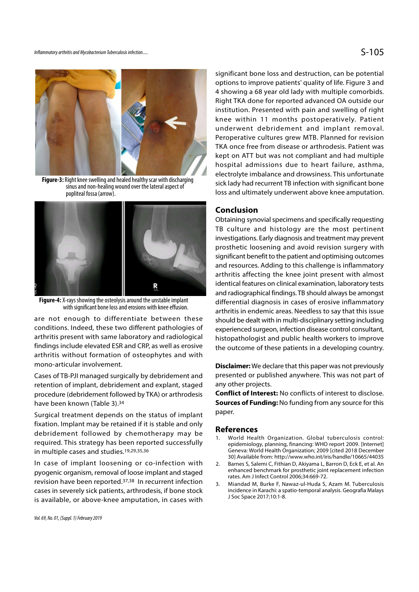

Figure-3: Right knee swelling and healed healthy scar with discharging sinus and non-healing wound over the lateral aspect of popliteal fossa (arrow).



Figure-4: X-rays showing the osteolysis around the unstable implant with significant bone loss and erosions with knee effusion.

are not enough to differentiate between these conditions. Indeed, these two different pathologies of arthritis present with same laboratory and radiological findings include elevated ESR and CRP, as well as erosive arthritis without formation of osteophytes and with mono-articular involvement.

Cases of TB-PJI managed surgically by debridement and retention of implant, debridement and explant, staged procedure (debridement followed by TKA) or arthrodesis have been known (Table 3).34

Surgical treatment depends on the status of implant fixation. Implant may be retained if it is stable and only debridement followed by chemotherapy may be<br>1. World Health Organization. Global tuberculosis control: required. This strategy has been reported successfully in multiple cases and studies.19,29,35,36

In case of implant loosening or co-infection with 2. Barnes S, Salemi C, Fithian D, Akiyama L, Barron D, Eck E, et al. An pyogenic organism, removal of loose implant and staged revision have been reported.<sup>37,38</sup> In recurrent infection 3. Miandad M, Burke F, Nawaz-ul-Huda S, Azam M. Tuberculosis cases in severely sick patients, arthrodesis, if bone stock is available, or above-knee amputation, in cases with

significant bone loss and destruction, can be potential options to improve patients' quality of life. Figure 3 and 4 showing a 68 year old lady with multiple comorbids. Right TKA done for reported advanced OA outside our institution. Presented with pain and swelling of right knee within 11 months postoperatively. Patient underwent debridement and implant removal. Peroperative cultures grew MTB. Planned for revision TKA once free from disease or arthrodesis. Patient was kept on ATT but was not compliant and had multiple hospital admissions due to heart failure, asthma, electrolyte imbalance and drowsiness. This unfortunate sick lady had recurrent TB infection with significant bone loss and ultimately underwent above knee amputation.

## Conclusion

Obtaining synovial specimens and specifically requesting TB culture and histology are the most pertinent investigations. Early diagnosis and treatment may prevent prosthetic loosening and avoid revision surgery with significant benefit to the patient and optimising outcomes and resources. Adding to this challenge is inflammatory arthritis affecting the knee joint present with almost identical features on clinical examination, laboratory tests and radiographical findings. TB should always be amongst differential diagnosis in cases of erosive inflammatory arthritis in endemic areas. Needless to say that this issue should be dealt with in multi-disciplinary setting including experienced surgeon, infection disease control consultant, histopathologist and public health workers to improve the outcome of these patients in a developing country.

**Disclaimer:** We declare that this paper was not previously presented or published anywhere. This was not part of any other projects. **Disclaimer:** We declare that this paper was not previously<br>presented or published anywhere. This was not part of<br>any other projects.<br>**Conflict of Interest:** No conflicts of interest to disclose.<br>**Sources of Funding:** No f

Conflict of Interest: No conflicts of interest to disclose. **Sources of Funding: No funding from any source for this** paper. any other projects.<br> **Conflict of Interest:** No conflicts of interest to disclose.<br> **Sources of Funding:** No funding from any source for this<br>
paper.<br> **References**<br>
1. World Health Organization. Global tuberculosis control

### References

- epidemiology, planning, financing: WHO report 2009. [Internet] Geneva: World Health Organization; 2009 [cited 2018 December 30] Available from: http://www.who.int/iris/handle/10665/44035 **Sources or Funding:** No funding from any source for this<br>paper.<br>**References**<br>1. World Health Organization. Global tuberculosis control:<br>epidemiology, planning, financing: WHO report 2009. [Internet]<br>Geneva: World Health O
- enhanced benchmark for prosthetic joint replacement infection rates. Am J Infect Control 2006;34:669-72.
- incidence in Karachi: a spatio-temporal analysis. Geografia Malays J Soc Space 2017;10:1-8.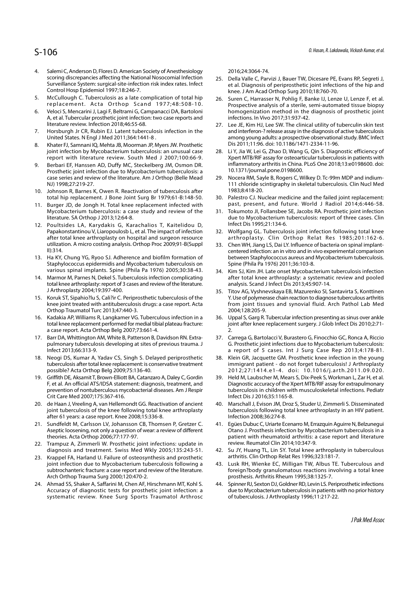- 5-106<br>4. Salemi C, Anderson D, Flores D. American Society of Anesthesiology<br>5. Scoring discrepancies affecting the National Nosocomial Infection<br>5. Della Valle<br>5. McCullough C. Tuberculosis as a late complication of total scoring discrepancies affecting the National Nosocomial Infection 25. Della Valle C, Parvizi J, Bauer TW, Dicesare PE, Evans RP, Segreti J, Surveillance System: surgical-site-infection risk index rates. Infect Control Hosp Epidemiol 1997;18:246-7. 5-106<br>
Salemi C, Anderson D, Flores D. American Society of Anesthesiology<br>
scoring discrepancies affecting the National Nosocomial Infection<br>
Surveillance System: surgical-site-infection risk index rates. Infect<br>
Control H Commission D, Flores D. American Society of Anesthesiology<br>
Salemi C, Anderson D, Flores D. American Society of Anesthesiology<br>
Surveillance System: surgical-site-infection risk index rates. Infect<br>
Surveillance System: su **5-106**<br> **4.** Salemi C, Anderson D, Flores D. American Society of Anesthesiology<br>
scoring discrepancies affecting the National Nosocomial Infection<br>
25.<br>
Surveillance System: surgical-site-infection risk index rates. Infec **5-106**<br> **4.** Salemi C, Anderson D, Flores D. American Society of Anesthesiology<br>
scoring discrepancies affecting the National Nosocomial Infection<br>
Surveillance System: surgical-site-infection risk index rates. Infect<br>
te 8. Salemi C, Anderson D, Flores D. American Society of Anesthesiology<br>
scoring discrepancies affecting the National Nosocomial Infection<br>
Surveillance System: surgical-site-infection risk index rates. Infect<br>
te al. Dia<br>
C
- 
- A, et al. Tubercular prosthetic joint infection: two case reports and literature review. Infection 2018;46:55-68.
- United States. N Engl J Med 2011;364:1441-8 .
- joint infection by Mycobacterium tuberculosis: an unusual case 28. Li Y, Jia W, Lei G, Zhao D, Wang G, Qin S. Diagnostic efficiency of report with literature review. South Med J 2007;100:66-9.
- Surveillance System: surgical-site-infection risk index rates. Infect<br>
Control Hosp Epidemiol 1997;18:246-7.<br>
5. McCullough C. Tuberculosis as a late complication of total hip<br>
replacement. Acta Orthop Scand 1977;48:508-10 Prosthetic joint infection due to Mycobacterium tuberculosis: a 10.1371/journal.pone.0198600.<br>Case series and review of the literature. Am J Orthop (Belle Mead 29. Nocera RM, Sayle B, Rogers C, Wilkey D. Tc-99m MDP and ind case series and review of the literature. Am J Orthop (Belle Mead NJ) 1998;27:219-27. 10. Veloci S, Mencarini J, Lagi F, Beltrami G, Campanacci DA, Bartoloni hom<br>
10. A, et al. Tubercular prosthetic joint infection: two case reports and infe<br>
literature review. Infection 2018;46:55-68.<br>
27. Leve the conditi Iterature review. Infection 2018;46:55-68. <br>
17. Horsburgh Jr CR, Rubin EJ. Latent tuberculosis infection in the and interferom<br>
United States. N Engl J Med 2011;364:1441-8. annong young<br>
8. Khater FJ, Samnani IQ, Mehta JB
- total hip replacement. J Bone Joint Surg Br 1979;61-B:148-50.
- Mycobacterium tuberculosis: a case study and review of the 31. Tokumoto JI, Follansbee SE, Jacobs RA. Prosthetic joint infection literature. SA Orthop J 2013;12:64-8.
- 12. Rhater FJ, Samnani IQ, Mehta JB, Moorman JP, Myers JW. Prosthetic<br>
igiont infection by Mycobacterium tuberculosis: an unusual case<br>
12. report with literature review. South Med J 2007;100:66-9.<br>
9. Berbari EF, Hanssen after total knee arthroplasty on hospital and surgeon resource utilization. A micro costing analysis. Orthop Proc 2009;91-B(Suppl II):314. case series and review of the literature. Am J Orthop (Belle Mead 29. Not NJ) 1998;27:219-27.<br>
10. Johnson R, Barnes K, Owen R. Reactivation of tuberculosis after<br>
total hip replacement. J Bone Joint Surg Br 1979;61-B:148total hip replacement. J Bone Joint Surg Br 1979;61-B:148-50. 30. Palestro CJ. N<br>
11. Burger JD, de Jong H, Total knee replacement infected with<br>
Mycobacterium tuberculosis: a case study and review of the 31. Tokumoto JJ, literature. SA Orthop J 2013;12:64-8.<br>
12. Poultsides LA, Karydakis G, Karachalios T, Kaitelidou D, Infect Dis 19<br>
12. Wolfgang Constantinou V, Liaropulos b, Let al. The impact of infection<br>
after total knee arthroplasty o
- Staphylococcus epidermidis and Mycobacterium tuberculosis on
- total knee arthroplasty: report of 3 cases and review of the literature. J Arthroplasty 2004;19:397-400. after total knee arthroplasty on hospital and surgeon resource<br>
utilization. A micro costing analysis. Orthop Proc 2009;91-B(Suppl<br>
III):314.<br>
16. KA, Chung YG, Ryoo SJ. Adherence and biofilm formation of between Staphyloc 13. Ha KY, Chung YG, Ryoo SJ. Adherence and biofilm formation of Staphylococcus epidermidis and Mycobacterium tuberculosis on various spinal implants. Spine (Phila Pa 1976) 2005;30:38-43.<br>
14. Marmor M, Parnes N, Dekel S.
- knee joint treated with antituberculosis drugs: a case report. Acta Orthop Traumatol Turc 2013;47:440-3.
- total knee replacement performed for medial tibial plateau fracture: a case report. Acta Orthop Belg 2007;73:661-4.
- pulmonary tuberculosis developing at sites of previous trauma. J
- Infect 2013;66:313-9.<br>18. Neogi DS, Kumar A, Yadav CS, Singh S. Delayed periprosthetic 14. Marmor M, Parnes N, Dekel S. Tuberculosis infection complicating after totta knee arthroplasty: report of 3 cases and review of the literature.<br>
18. Koruk ST, Sipahio?lu S, Cali?ir C. Periprosthetic tuberculosis of the tuberculosis after total knee replacement: is conservative treatment possible? Acta Orthop Belg 2009;75:136-40.<br>19. Griffith DE, Aksamit T, Brown-Elliott BA, Catanzaro A, Daley C, Gordin
- 15. Koruk ST, Sipahio?lu S, Cali?ir C. Periprosthetic tuberculosis of the<br>
knee joint treated with antituberculosis drugs: a case report. Acta<br>
Orthop Traumatol Turc 2013;47:440-3.<br>
16. Kadakia AP, Williams R, Langkamer VG F, et al. An official ATS/IDSA statement: diagnosis, treatment, and prevention of nontuberculous mycobacterial diseases. Am J Respir Crit Care Med 2007;175:367-416. total knee replacement performed for medial tibial plateau fracture: join<br>
2. Barr DA, Whittington AM, White B, Patterson B, Davidson RN. Extra-<br>
2. Carr DA, White B, Patterson B, Davidson RN. Extra-<br>
2. Carr pulmonary tub pulmonary tuberculosis developing at sites of previous trauma. J<br>
Infect 2013;66:313-9.<br>
18. Neogi DS, Kumar A, Yadav CS, Singh S. Delayed periprosthetic 38.<br>
tuberculosis after total knee replacement: is conservative trea tuberculosis after total knee replacement: is conservative treatment<br>
20. Tieffith DE, Aksamit T, Brown-Elliott BA, Catanzaro A, Daley C, Gordin<br>
20. Griffith DE, Aksamit T, Brown-Elliott BA, Catanzaro A, Daley C, Gordin<br>
- joint tuberculosis of the knee following total knee arthroplasty after 61 years: a case report. Knee 2008;15:336-8.
- Aseptic loosening, not only a question of wear: a review of different theories. Acta Orthop 2006;77:177-97.
- diagnosis and treatment. Swiss Med Wkly 2005;135:243-51.
- 19. Griffith DE, Aksamit T, Brown-Elliott BA, Catanzaro A, Daley C, Gordin and Eigenostic prevention of nontibercultous mycobacterial diseases. Am J Respirmed to the Unercultous metrem of ontibercultous metrem of the there joint infection due to Mycobacterium tuberculosis following a 43. Lusk RH, Wienke EC, Milligan TW, Albus TE. Tuberculous and subtrochanteric fracture: a case report and review of the literature. Arch Orthop Trauma Surg 2000;120:470-2. 20. de Haan J, Vreeling A, van Hellemondt GG. Reactivation of ancient<br>
20. joint tuberculosis of the knee following total knee arthroplasty<br>
21. Sundfeldt M, Carlsson LV, Johansson CB, Thomsen P, Gretzer C.<br>
21. Sundfeldt
- Accuracy of diagnostic tests for prosthetic joint infection: a systematic review. Knee Surg Sports Traumatol Arthrosc

2016;24:3064-74.

- 9. Hasan, R. Lakdawala, Vickash Kumar, et al.<br>2016;24:3064-74.<br>25. Della Valle C, Parvizi J, Bauer TW, Dicesare PE, Evans RP, Segreti J,<br>et al. Diagnosis of periprosthetic joint infections of the hip and<br>knee. J Am Acad Or et al. Diagnosis of periprosthetic joint infections of the hip and knee. J Am Acad Orthop Surg 2010;18:760-70.
- 2016;24:3064-74.<br>
26. Hasan, R. Lakdawala, Vickash Kumar, et al.<br>
26. Della Valle C, Parvizi J, Bauer TW, Dicesare PE, Evans RP, Segreti J,<br>
et al. Diagnosis of periprosthetic joint infections of the hip and<br>
knee. J Am Ac Prospective analysis of a sterile, semi-automated tissue biopsy homogenization method in the diagnosis of prosthetic joint infections. In Vivo 2017;31:937-42.
- 2016;24:3064-74.<br>
22. Della Valle C, Parvizi J, Bauer TW, Dicesare PE, Evans RP, Segreti J,<br>
22. Della Valle C, Parvizi J, Bauer TW, Dicesare PE, Evans RP, Segreti J,<br>
22. Guren C, Harrasser N, Pohlig F, Banke IJ, Lenze D, and interferon-? release assay in the diagnosis of active tuberculosis among young adults: a prospective observational study. BMC Infect Dis 2011;11:96. doi: 10.1186/1471-2334-11-96. 2016;24:3064-74.<br>
25. Della Valle C, Parvizi J, Bauer TW, Dicesare PE, Evans RP, Segreti J,<br>
et al. Diagnosis of periprosthetic joint infections of the hip and<br>
knee. J Am Acad Orthop Surg 2010;18:760-70.<br>
26. Suren C, Har 26. Suren C, Harrasser N, Pohlig F, Banke IJ, Lenze U, Lenze F, et al.<br>
Prospective analysis of a sterile, semi-automated tissue biopsy<br>
homogenization method in the diagnosis of prosthetic joint<br>
infections. In Vivo 2017; infections. In Vivo 2017;31:937-42.<br>
27. Lee JE, Kim HJ, Lee SW. The clinical utility of tuberculin skin test<br>
and interferon-? release assay in the diagnosis of active tuberculosis<br>
among young adults: a prospective obser
- Xpert MTB/RIF assay for osteoarticular tuberculosis in patients with inflammatory arthritis in China. PLoS One 2018;13:e0198600. doi: 10.1371/journal.pone.0198600. and interferon-? release assay in the diagnosis of active tuberculosis<br>among young adults: a prospective observational study. BMC Infect<br>Dis 2011;11:96. doi: 10.1186/1471-2334-11-96.<br>28. Li Y, Jia W, Lei G, Zhao D, Wang G, 28. Li Y, Jia W, Lei G, Zhao D, Wang G, Qin S. Diagnostic efficiency of<br>
Xpert MTB/RIF assay for osteoarticular tuberculosis in patients with<br>
inflammatory arthritis in China. PLoS One 2018;13:e0198600. doi:<br>
10.1371/journ
- 111 chloride scintigraphy in skeletal tuberculosis. Clin Nucl Med 1983;8:418-20.
- past, present, and future. World J Radiol 2014;6:446-58.
- due to Mycobacterium tuberculosis: report of three cases. Clin Infect Dis 1995;21:134-6.
- Papakonstantinou V, Liaropoulosb L, et al. The impact of infection 32. Wolfgang GL. Tuberculosis joint infection following total knee arthroplasty. Clin Orthop Relat Res 1985;201:162-6.
- inflammatory arthritis in China. PLoS One 2018;13:e0198600. doi:<br>
10.1371/journal.pone.0198600.<br>
29. Nocera RM, Sayle B, Rogers C, Wilkey D. Tc-99m MDP and indium-<br>
111 chloride scintigraphy in skeletal tuberculosis. Clin centered infection: an in vitro and in vivo experimental comparison between Staphylococcus aureus and Mycobacterium tuberculosis. Spine (Phila Pa 1976) 2011;36:103-8. 1983;8:418-20.<br>
30. Palestro CJ. Nuclear medicine and the failed joint replacement:<br>
past, present, and future. World J Radiol 2014;6:446-58.<br>
31. Tokumoto JI, Follansbee SE, Jacobs RA. Prosthetic joint infection<br>
due to M 31. Tokumoto JI, Follansbee SE, Jacobs RA. Prosthetic joint infection<br>due to Mycobacterium tuberculosis: report of three cases. Clin<br>Infect Dis 1995;21:134-6.<br>32. Wolfgang GL. Tuberculosis joint infection following total k arthroplasty. Clin Orthop Relat Res 1985;201:162-6.<br>
33. Chen WH, Jiang LS, Dai LY. Influence of bacteria on spinal implant-<br>
centered infection: an in vitro and invoe experimental comparison<br>
between Staphylococcus aureus
- various spinal implants. Spine (Phila Pa 1976) 2005;30:38-43. after total knee arthroplasty: a systematic review and pooled analysis. Scand J Infect Dis 2013;45:907-14.
- Y. Use of polymerase chain reaction to diagnose tuberculous arthritis from joint tissues and synovial fluid. Arch Pathol Lab Med 2004;128:205-9. between Staphylococcus aureus and Mycobacterium tuberculosis.<br>
Spine (Phila Pa 1976) 2011;36:103-8.<br>
34. Kim JJ, Kim JH. Late onset Mycobacterium tuberculosis infection<br>
after total knee arthroplasty: a systematic review a after total knee arthroplasty: a systematic review and pooled<br>
analysis. Scand J Infect Dis 2013;45:907-14.<br>
35. Titov AG, Vyshnevskaya EB, Mazurenko SI, Santavirta S, Konttinen<br>
Y. Use of polymerase chain reaction to diag
	- joint after knee replacement surgery. J Glob Infect Dis 2010;2:71- 2.
	- G. Prosthetic joint infections due to Mycobacterium tuberculosis:
	- a report of 5 cases. Int J Surg Case Rep 2013;4:178-81.<br>38. Klein GR, Jacquette GM. Prosthetic knee infection in the young immigrant patient - do not forget tuberculosis! J Arthroplasty
	- Titov AG, Vyshnevskaya EB, Mazurenko SI, Santavirta S, Konttinen<br>Y. Use of polymerase chain reaction to diagnose tuberculous arthritis<br>from joint itssues and synovial fluid. Arch Pathol Lab Med<br>2004;128:205-9.<br>Uppal S, Gar 9. V. Use of polymerase chain reaction to diagnose tuberculous arthritis<br>
	from joint tissues and synovial fluid. Arch Pathol Lab Med<br>
	2004;128:205-9.<br>
	36. Uppal S, Garg R. Tubercular infection presenting as sinus over ankl Diagnostic accuracy of the Xpert MTB/RIF assay for extrapulmonary tuberculosis in children with musculoskeletal infections. Pediatr Infect Dis J 2016;35:1165-8. is in a first marrial Strate The State of Chinect Disable Market Disable C. Carega G, Bartolacci V, Burastero G, Finocchio GC, Ronca A, Riccio G. Prosthetic joint infections due to Mycobacterium tuberculosis:<br>a report of 5
	- tuberculosis following total knee arthroplasty in an HIV patient. Infection 2008;36:274-8.
	- G. Prosthetic joint infections due to Mycobacterium tuberculosis:<br>
	a report of 5 cases. Int J Surg Case Rep 2013;4:178-81.<br>
	88. Klein GR, Jacquette GM. Prosthetic knee infection in the young<br>
	immigrant patitent do not f Otano J. Prosthesis infection by Mycobacterium tuberculosis in a patient with rheumatoid arthritis: a case report and literature review. Reumatol Clin 2014;10:347-9. 2012;27:1414.e1-4. doi: 10.1016/j.arth.2011.09.020.<br>
	39. Held M, Laubscher M, Mears S, Dix-Peek S, Workman L, Zar H, et al.<br>
	Diagnostic accuracy of the Xpert MTB/RIF assay for extrapulmonary<br>
	tuberculosis in children with Diagnostic accuracy of the Xpert MTB/RIF assay for extrapulmonary<br>tuberculosis in children with musculoskeletal infections. Pediatr<br>Infect Dis J 2016;35:1165-8.<br>40. Marschall J, Evison JM, Droz S, Studer U, Zimmerli S. Dis 40. Marschall J, Evison JM, Droz S, Studer U, Zimmerli S. Disseminated<br>tuberculosis following total knee arthroplasty in an HIV patient.<br>Infection 2008;36:274-8.<br>41. Egües Dubuc C, Uriarte Ecenarro M, Errazquin Aguirre N,
	- arthritis. Clin Orthop Relat Res 1996;323:181-7.
	- foreign?body granulomatous reactions involving a total knee prosthesis. Arthritis Rheum 1995;38:1325-7.
	- due to Mycobacterium tuberculosis in patients with no prior history of tuberculosis. J Arthroplasty 1996;11:217-22.